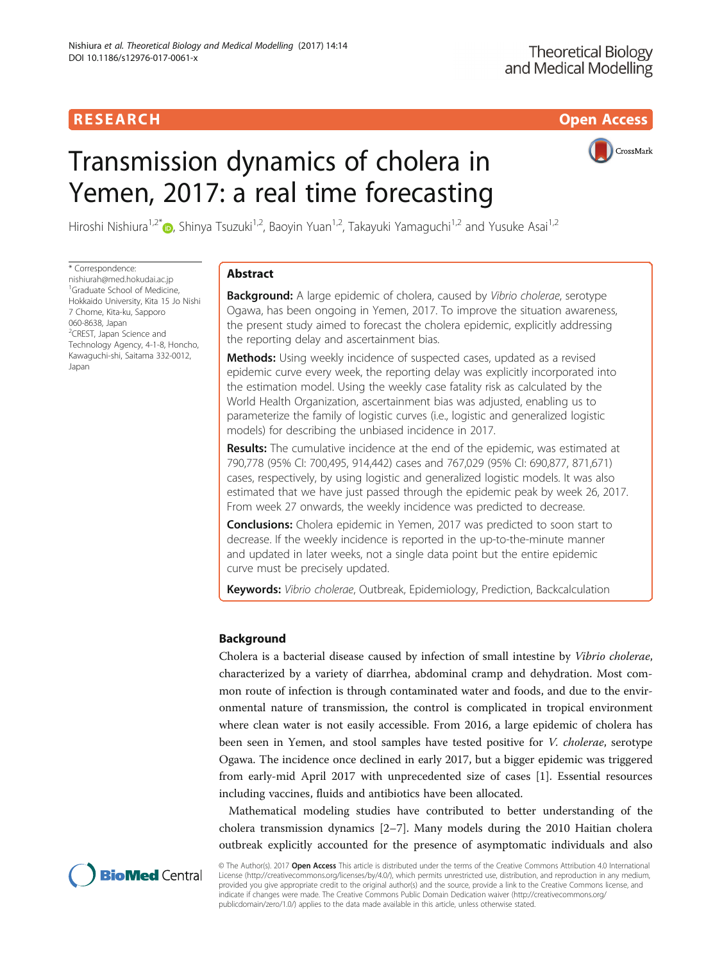## R E S EAR CH Open Access

# Transmission dynamics of cholera in Yemen, 2017: a real time forecasting



Hiroshi Nishiura<sup>1[,](http://orcid.org/0000-0003-0941-8537)2\*</sup> , Shinya Tsuzuki<sup>1,2</sup>, Baoyin Yuan<sup>1,2</sup>, Takayuki Yamaguchi<sup>1,2</sup> and Yusuke Asai<sup>1,2</sup>

\* Correspondence: [nishiurah@med.hokudai.ac.jp](mailto:nishiurah@med.hokudai.ac.jp)

<sup>1</sup>Graduate School of Medicine, Hokkaido University, Kita 15 Jo Nishi 7 Chome, Kita-ku, Sapporo 060-8638, Japan <sup>2</sup>CREST, Japan Science and Technology Agency, 4-1-8, Honcho, Kawaguchi-shi, Saitama 332-0012, Japan

## Abstract

**Background:** A large epidemic of cholera, caused by Vibrio cholerae, serotype Ogawa, has been ongoing in Yemen, 2017. To improve the situation awareness, the present study aimed to forecast the cholera epidemic, explicitly addressing the reporting delay and ascertainment bias.

**Methods:** Using weekly incidence of suspected cases, updated as a revised epidemic curve every week, the reporting delay was explicitly incorporated into the estimation model. Using the weekly case fatality risk as calculated by the World Health Organization, ascertainment bias was adjusted, enabling us to parameterize the family of logistic curves (i.e., logistic and generalized logistic models) for describing the unbiased incidence in 2017.

**Results:** The cumulative incidence at the end of the epidemic, was estimated at 790,778 (95% CI: 700,495, 914,442) cases and 767,029 (95% CI: 690,877, 871,671) cases, respectively, by using logistic and generalized logistic models. It was also estimated that we have just passed through the epidemic peak by week 26, 2017. From week 27 onwards, the weekly incidence was predicted to decrease.

**Conclusions:** Cholera epidemic in Yemen, 2017 was predicted to soon start to decrease. If the weekly incidence is reported in the up-to-the-minute manner and updated in later weeks, not a single data point but the entire epidemic curve must be precisely updated.

Keywords: Vibrio cholerae, Outbreak, Epidemiology, Prediction, Backcalculation

## Background

Cholera is a bacterial disease caused by infection of small intestine by Vibrio cholerae, characterized by a variety of diarrhea, abdominal cramp and dehydration. Most common route of infection is through contaminated water and foods, and due to the environmental nature of transmission, the control is complicated in tropical environment where clean water is not easily accessible. From 2016, a large epidemic of cholera has been seen in Yemen, and stool samples have tested positive for V. cholerae, serotype Ogawa. The incidence once declined in early 2017, but a bigger epidemic was triggered from early-mid April 2017 with unprecedented size of cases [\[1](#page-7-0)]. Essential resources including vaccines, fluids and antibiotics have been allocated.

Mathematical modeling studies have contributed to better understanding of the cholera transmission dynamics [\[2](#page-7-0)–[7](#page-7-0)]. Many models during the 2010 Haitian cholera outbreak explicitly accounted for the presence of asymptomatic individuals and also



© The Author(s). 2017 Open Access This article is distributed under the terms of the Creative Commons Attribution 4.0 International License ([http://creativecommons.org/licenses/by/4.0/\)](http://creativecommons.org/licenses/by/4.0/), which permits unrestricted use, distribution, and reproduction in any medium, provided you give appropriate credit to the original author(s) and the source, provide a link to the Creative Commons license, and indicate if changes were made. The Creative Commons Public Domain Dedication waiver ([http://creativecommons.org/](http://creativecommons.org/publicdomain/zero/1.0/) [publicdomain/zero/1.0/\)](http://creativecommons.org/publicdomain/zero/1.0/) applies to the data made available in this article, unless otherwise stated.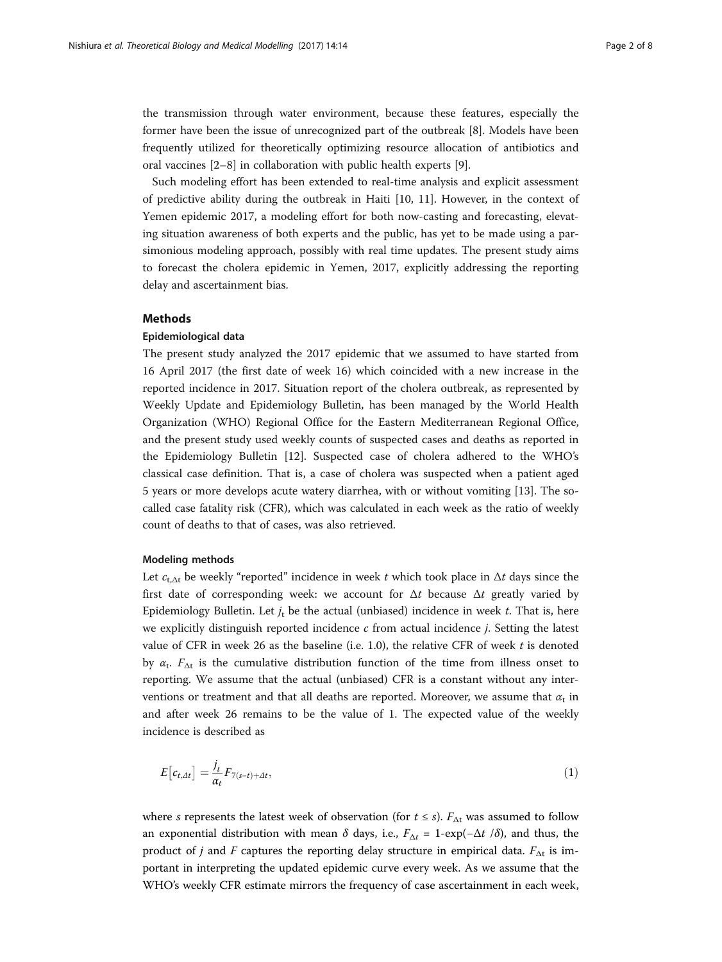the transmission through water environment, because these features, especially the former have been the issue of unrecognized part of the outbreak [[8\]](#page-7-0). Models have been frequently utilized for theoretically optimizing resource allocation of antibiotics and oral vaccines [\[2](#page-7-0)–[8](#page-7-0)] in collaboration with public health experts [\[9](#page-7-0)].

Such modeling effort has been extended to real-time analysis and explicit assessment of predictive ability during the outbreak in Haiti [\[10](#page-7-0), [11](#page-7-0)]. However, in the context of Yemen epidemic 2017, a modeling effort for both now-casting and forecasting, elevating situation awareness of both experts and the public, has yet to be made using a parsimonious modeling approach, possibly with real time updates. The present study aims to forecast the cholera epidemic in Yemen, 2017, explicitly addressing the reporting delay and ascertainment bias.

## Methods

### Epidemiological data

The present study analyzed the 2017 epidemic that we assumed to have started from 16 April 2017 (the first date of week 16) which coincided with a new increase in the reported incidence in 2017. Situation report of the cholera outbreak, as represented by Weekly Update and Epidemiology Bulletin, has been managed by the World Health Organization (WHO) Regional Office for the Eastern Mediterranean Regional Office, and the present study used weekly counts of suspected cases and deaths as reported in the Epidemiology Bulletin [[12\]](#page-7-0). Suspected case of cholera adhered to the WHO's classical case definition. That is, a case of cholera was suspected when a patient aged 5 years or more develops acute watery diarrhea, with or without vomiting [[13](#page-7-0)]. The socalled case fatality risk (CFR), which was calculated in each week as the ratio of weekly count of deaths to that of cases, was also retrieved.

#### Modeling methods

Let  $c_{t,\Delta t}$  be weekly "reported" incidence in week t which took place in  $\Delta t$  days since the first date of corresponding week: we account for  $\Delta t$  because  $\Delta t$  greatly varied by Epidemiology Bulletin. Let  $j_t$  be the actual (unbiased) incidence in week t. That is, here we explicitly distinguish reported incidence  $c$  from actual incidence  $j$ . Setting the latest value of CFR in week 26 as the baseline (i.e. 1.0), the relative CFR of week  $t$  is denoted by  $\alpha_t$ .  $F_{\Delta t}$  is the cumulative distribution function of the time from illness onset to reporting. We assume that the actual (unbiased) CFR is a constant without any interventions or treatment and that all deaths are reported. Moreover, we assume that  $\alpha_t$  in and after week 26 remains to be the value of 1. The expected value of the weekly incidence is described as

$$
E\left[c_{t,\Delta t}\right] = \frac{j_t}{\alpha_t} F_{7(s-t)+\Delta t},\tag{1}
$$

where s represents the latest week of observation (for  $t \leq s$ ).  $F_{\Delta t}$  was assumed to follow an exponential distribution with mean  $\delta$  days, i.e.,  $F_{\Delta t} = 1 - \exp(-\Delta t / \delta)$ , and thus, the product of j and F captures the reporting delay structure in empirical data.  $F_{\Delta t}$  is important in interpreting the updated epidemic curve every week. As we assume that the WHO's weekly CFR estimate mirrors the frequency of case ascertainment in each week,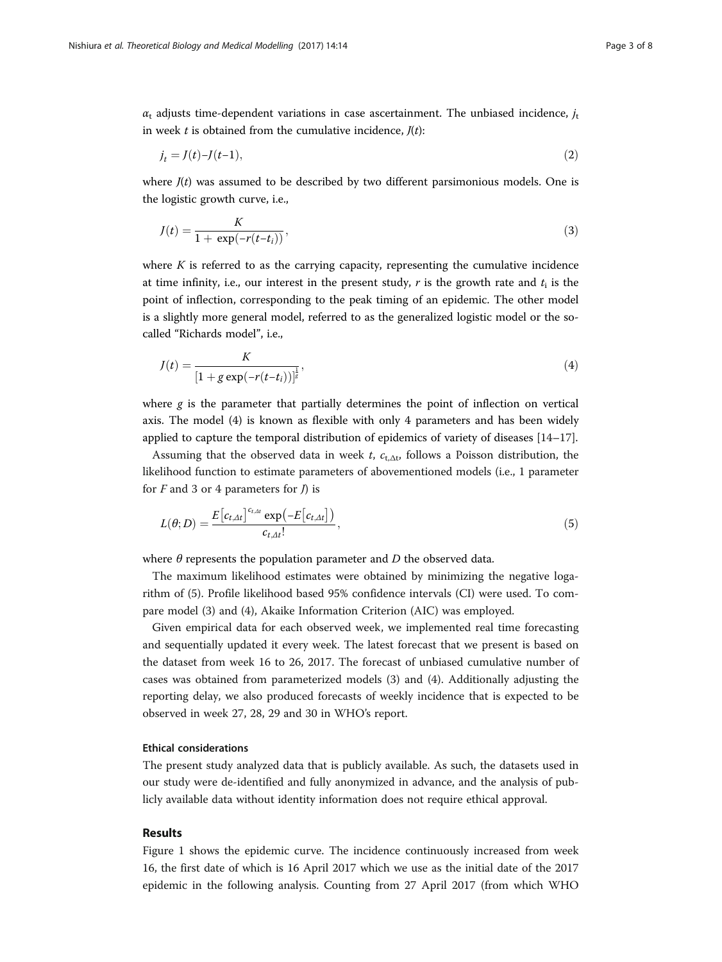$\alpha_t$  adjusts time-dependent variations in case ascertainment. The unbiased incidence,  $j_t$ in week  $t$  is obtained from the cumulative incidence,  $J(t)$ :

$$
j_t = J(t) - J(t-1),\tag{2}
$$

where  $J(t)$  was assumed to be described by two different parsimonious models. One is the logistic growth curve, i.e.,

$$
J(t) = \frac{K}{1 + \exp(-r(t - t_i))},
$$
\n(3)

where  $K$  is referred to as the carrying capacity, representing the cumulative incidence at time infinity, i.e., our interest in the present study, r is the growth rate and  $t_i$  is the point of inflection, corresponding to the peak timing of an epidemic. The other model is a slightly more general model, referred to as the generalized logistic model or the socalled "Richards model", i.e.,

$$
J(t) = \frac{K}{[1 + g \exp(-r(t - t_i))]^{\frac{1}{g}}},
$$
\n(4)

where  $g$  is the parameter that partially determines the point of inflection on vertical axis. The model (4) is known as flexible with only 4 parameters and has been widely applied to capture the temporal distribution of epidemics of variety of diseases [\[14](#page-7-0)–[17\]](#page-7-0).

Assuming that the observed data in week t,  $c_{t,\Delta t}$ , follows a Poisson distribution, the likelihood function to estimate parameters of abovementioned models (i.e., 1 parameter for  $F$  and 3 or 4 parameters for  $J$ ) is

$$
L(\theta;D) = \frac{E\left[c_{t,At}\right]^{c_{t,At}} \exp\left(-E\left[c_{t,At}\right]\right)}{c_{t,At}!},\tag{5}
$$

where  $\theta$  represents the population parameter and  $D$  the observed data.

The maximum likelihood estimates were obtained by minimizing the negative logarithm of (5). Profile likelihood based 95% confidence intervals (CI) were used. To compare model (3) and (4), Akaike Information Criterion (AIC) was employed.

Given empirical data for each observed week, we implemented real time forecasting and sequentially updated it every week. The latest forecast that we present is based on the dataset from week 16 to 26, 2017. The forecast of unbiased cumulative number of cases was obtained from parameterized models (3) and (4). Additionally adjusting the reporting delay, we also produced forecasts of weekly incidence that is expected to be observed in week 27, 28, 29 and 30 in WHO's report.

## Ethical considerations

The present study analyzed data that is publicly available. As such, the datasets used in our study were de-identified and fully anonymized in advance, and the analysis of publicly available data without identity information does not require ethical approval.

## Results

Figure [1](#page-3-0) shows the epidemic curve. The incidence continuously increased from week 16, the first date of which is 16 April 2017 which we use as the initial date of the 2017 epidemic in the following analysis. Counting from 27 April 2017 (from which WHO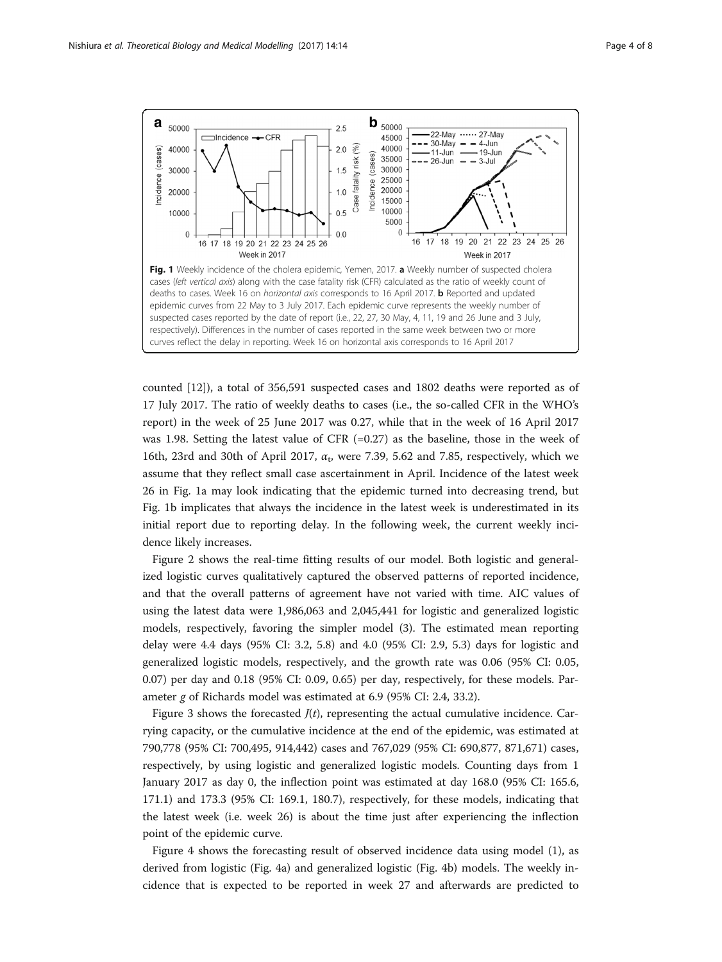<span id="page-3-0"></span>

counted [\[12](#page-7-0)]), a total of 356,591 suspected cases and 1802 deaths were reported as of 17 July 2017. The ratio of weekly deaths to cases (i.e., the so-called CFR in the WHO's report) in the week of 25 June 2017 was 0.27, while that in the week of 16 April 2017 was 1.98. Setting the latest value of CFR (=0.27) as the baseline, those in the week of 16th, 23rd and 30th of April 2017,  $\alpha$ <sub>t</sub>, were 7.39, 5.62 and 7.85, respectively, which we assume that they reflect small case ascertainment in April. Incidence of the latest week 26 in Fig. 1a may look indicating that the epidemic turned into decreasing trend, but Fig. 1b implicates that always the incidence in the latest week is underestimated in its initial report due to reporting delay. In the following week, the current weekly incidence likely increases.

Figure [2](#page-4-0) shows the real-time fitting results of our model. Both logistic and generalized logistic curves qualitatively captured the observed patterns of reported incidence, and that the overall patterns of agreement have not varied with time. AIC values of using the latest data were 1,986,063 and 2,045,441 for logistic and generalized logistic models, respectively, favoring the simpler model (3). The estimated mean reporting delay were 4.4 days (95% CI: 3.2, 5.8) and 4.0 (95% CI: 2.9, 5.3) days for logistic and generalized logistic models, respectively, and the growth rate was 0.06 (95% CI: 0.05, 0.07) per day and 0.18 (95% CI: 0.09, 0.65) per day, respectively, for these models. Parameter g of Richards model was estimated at 6.9 (95% CI: 2.4, 33.2).

Figure [3](#page-4-0) shows the forecasted  $J(t)$ , representing the actual cumulative incidence. Carrying capacity, or the cumulative incidence at the end of the epidemic, was estimated at 790,778 (95% CI: 700,495, 914,442) cases and 767,029 (95% CI: 690,877, 871,671) cases, respectively, by using logistic and generalized logistic models. Counting days from 1 January 2017 as day 0, the inflection point was estimated at day 168.0 (95% CI: 165.6, 171.1) and 173.3 (95% CI: 169.1, 180.7), respectively, for these models, indicating that the latest week (i.e. week 26) is about the time just after experiencing the inflection point of the epidemic curve.

Figure [4](#page-5-0) shows the forecasting result of observed incidence data using model (1), as derived from logistic (Fig. [4a\)](#page-5-0) and generalized logistic (Fig. [4b](#page-5-0)) models. The weekly incidence that is expected to be reported in week 27 and afterwards are predicted to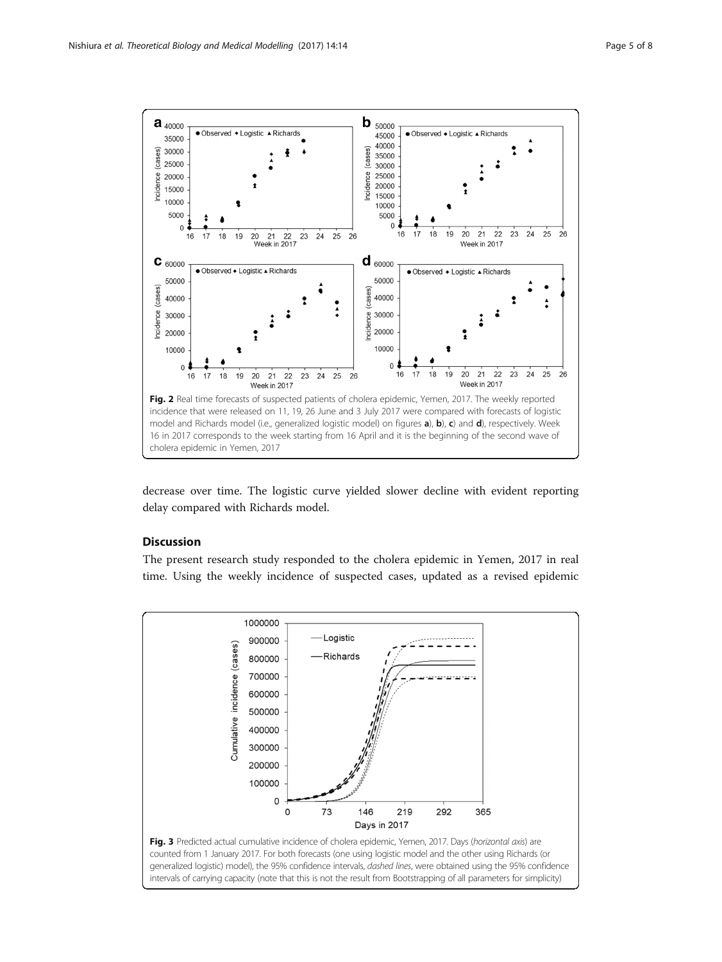<span id="page-4-0"></span>

decrease over time. The logistic curve yielded slower decline with evident reporting delay compared with Richards model.

## **Discussion**

The present research study responded to the cholera epidemic in Yemen, 2017 in real time. Using the weekly incidence of suspected cases, updated as a revised epidemic

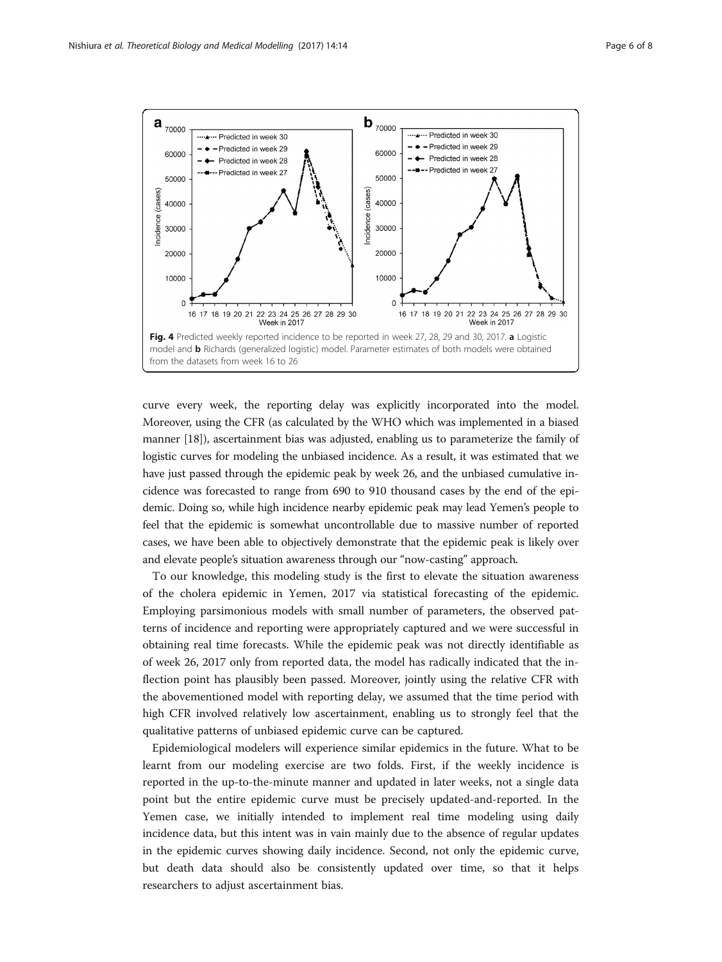<span id="page-5-0"></span>

curve every week, the reporting delay was explicitly incorporated into the model. Moreover, using the CFR (as calculated by the WHO which was implemented in a biased manner [[18\]](#page-7-0)), ascertainment bias was adjusted, enabling us to parameterize the family of logistic curves for modeling the unbiased incidence. As a result, it was estimated that we have just passed through the epidemic peak by week 26, and the unbiased cumulative incidence was forecasted to range from 690 to 910 thousand cases by the end of the epidemic. Doing so, while high incidence nearby epidemic peak may lead Yemen's people to feel that the epidemic is somewhat uncontrollable due to massive number of reported cases, we have been able to objectively demonstrate that the epidemic peak is likely over and elevate people's situation awareness through our "now-casting" approach.

To our knowledge, this modeling study is the first to elevate the situation awareness of the cholera epidemic in Yemen, 2017 via statistical forecasting of the epidemic. Employing parsimonious models with small number of parameters, the observed patterns of incidence and reporting were appropriately captured and we were successful in obtaining real time forecasts. While the epidemic peak was not directly identifiable as of week 26, 2017 only from reported data, the model has radically indicated that the inflection point has plausibly been passed. Moreover, jointly using the relative CFR with the abovementioned model with reporting delay, we assumed that the time period with high CFR involved relatively low ascertainment, enabling us to strongly feel that the qualitative patterns of unbiased epidemic curve can be captured.

Epidemiological modelers will experience similar epidemics in the future. What to be learnt from our modeling exercise are two folds. First, if the weekly incidence is reported in the up-to-the-minute manner and updated in later weeks, not a single data point but the entire epidemic curve must be precisely updated-and-reported. In the Yemen case, we initially intended to implement real time modeling using daily incidence data, but this intent was in vain mainly due to the absence of regular updates in the epidemic curves showing daily incidence. Second, not only the epidemic curve, but death data should also be consistently updated over time, so that it helps researchers to adjust ascertainment bias.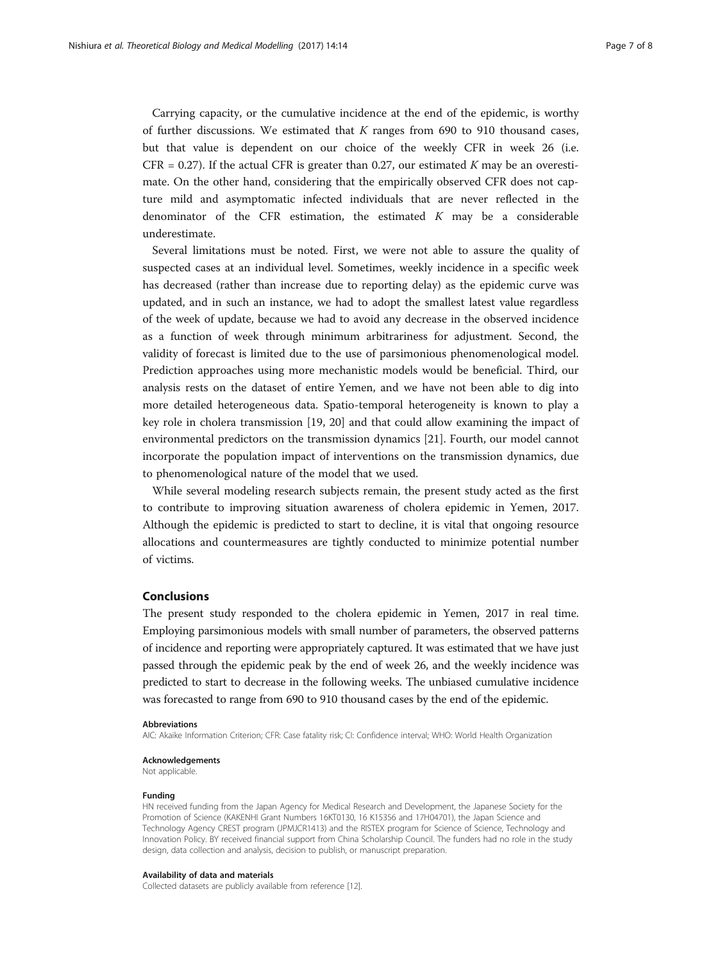Carrying capacity, or the cumulative incidence at the end of the epidemic, is worthy of further discussions. We estimated that  $K$  ranges from 690 to 910 thousand cases, but that value is dependent on our choice of the weekly CFR in week 26 (i.e. CFR = 0.27). If the actual CFR is greater than 0.27, our estimated K may be an overestimate. On the other hand, considering that the empirically observed CFR does not capture mild and asymptomatic infected individuals that are never reflected in the denominator of the CFR estimation, the estimated  $K$  may be a considerable underestimate.

Several limitations must be noted. First, we were not able to assure the quality of suspected cases at an individual level. Sometimes, weekly incidence in a specific week has decreased (rather than increase due to reporting delay) as the epidemic curve was updated, and in such an instance, we had to adopt the smallest latest value regardless of the week of update, because we had to avoid any decrease in the observed incidence as a function of week through minimum arbitrariness for adjustment. Second, the validity of forecast is limited due to the use of parsimonious phenomenological model. Prediction approaches using more mechanistic models would be beneficial. Third, our analysis rests on the dataset of entire Yemen, and we have not been able to dig into more detailed heterogeneous data. Spatio-temporal heterogeneity is known to play a key role in cholera transmission [\[19](#page-7-0), [20\]](#page-7-0) and that could allow examining the impact of environmental predictors on the transmission dynamics [\[21\]](#page-7-0). Fourth, our model cannot incorporate the population impact of interventions on the transmission dynamics, due to phenomenological nature of the model that we used.

While several modeling research subjects remain, the present study acted as the first to contribute to improving situation awareness of cholera epidemic in Yemen, 2017. Although the epidemic is predicted to start to decline, it is vital that ongoing resource allocations and countermeasures are tightly conducted to minimize potential number of victims.

#### Conclusions

The present study responded to the cholera epidemic in Yemen, 2017 in real time. Employing parsimonious models with small number of parameters, the observed patterns of incidence and reporting were appropriately captured. It was estimated that we have just passed through the epidemic peak by the end of week 26, and the weekly incidence was predicted to start to decrease in the following weeks. The unbiased cumulative incidence was forecasted to range from 690 to 910 thousand cases by the end of the epidemic.

#### Abbreviations

AIC: Akaike Information Criterion; CFR: Case fatality risk; CI: Confidence interval; WHO: World Health Organization

#### Acknowledgements

Not applicable.

#### Funding

HN received funding from the Japan Agency for Medical Research and Development, the Japanese Society for the Promotion of Science (KAKENHI Grant Numbers 16KT0130, 16 K15356 and 17H04701), the Japan Science and Technology Agency CREST program (JPMJCR1413) and the RISTEX program for Science of Science, Technology and Innovation Policy. BY received financial support from China Scholarship Council. The funders had no role in the study design, data collection and analysis, decision to publish, or manuscript preparation.

#### Availability of data and materials

Collected datasets are publicly available from reference [\[12\]](#page-7-0).